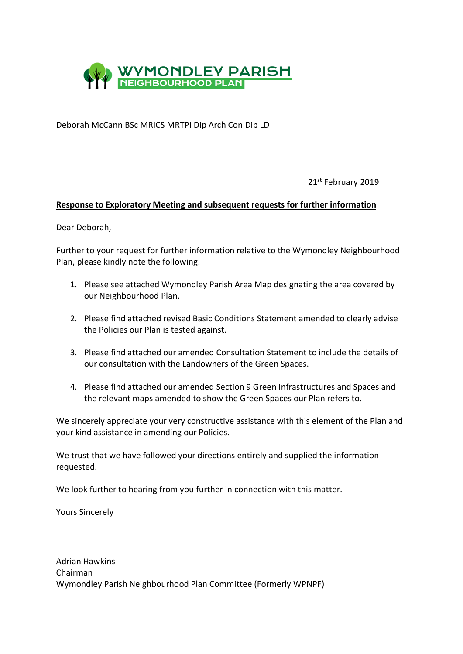

Deborah McCann BSc MRICS MRTPI Dip Arch Con Dip LD

21st February 2019

## **Response to Exploratory Meeting and subsequent requests for further information**

Dear Deborah,

Further to your request for further information relative to the Wymondley Neighbourhood Plan, please kindly note the following.

- 1. Please see attached Wymondley Parish Area Map designating the area covered by our Neighbourhood Plan.
- 2. Please find attached revised Basic Conditions Statement amended to clearly advise the Policies our Plan is tested against.
- 3. Please find attached our amended Consultation Statement to include the details of our consultation with the Landowners of the Green Spaces.
- 4. Please find attached our amended Section 9 Green Infrastructures and Spaces and the relevant maps amended to show the Green Spaces our Plan refers to.

We sincerely appreciate your very constructive assistance with this element of the Plan and your kind assistance in amending our Policies.

We trust that we have followed your directions entirely and supplied the information requested.

We look further to hearing from you further in connection with this matter.

Yours Sincerely

Adrian Hawkins Chairman Wymondley Parish Neighbourhood Plan Committee (Formerly WPNPF)